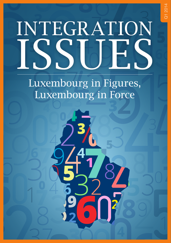# INTEGRATION ISSUES

Q1 2014

Luxembourg in Figures, Luxembourg in Force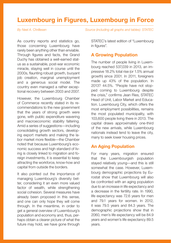### **Luxembourg in Figures, Luxembourg in Force**

As country reports and statistics go, those concerning Luxembourg have rarely been anything other than enviable. Through figures and facts, the Grand Duchy has obtained a well-earned status as a sustainable, post-war economic miracle, staying well in course until the 2000s, flaunting robust growth, buoyant job creation, marginal unemployment and a generous social model. The country even managed a rather exceptional recovery between 2003 and 2007.

However, the Luxembourg Chamber of Commerce recently stated in its recommendations to the new government that the years of strong growth were gone, with public expenditure wavering and macroeconomic stability faltering. Amid a series of suggestions—including consolidating growth sectors, developing export markets and making the labor market more flexible—the Chamber noted that because Luxembourg's economic success and high standard of living is closely linked to migration and foreign investments, it is essential to keep attracting the workforce, know-how and capital from outside the borders.

It also pointed out the importance of managing Luxembourg's diversity better, considering it an even more valued factor of wealth, while strengthening social cohesion. Several measures have already been proposed in this sense, and one can only hope they will come through. In the meantime, in order to get a general overview of Luxembourg's population and economy and, thus, perhaps obtain a clearer picture of what the future may hold, we have gone through

*By Neel A. Chrillesen Source (including all graphs and tables): STATEC*

STATEC's latest edition of "Luxembourg in figures".

#### **A Growing Population**

The number of people living in Luxembourg reached 537,039 in 2013, an impressive 18.2% total rise (or 1.5% annual growth) since 2001. In 2011, foreigners made up 43% of the population. In 2013? 44.5%. "People have not stopped coming to Luxembourg despite the crisis," confirms Jean Ries, STATEC Head of Unit, Labor Market and Education. Luxembourg City, which offers the most employment possibilities, remains the most populated municipality, with 103,600 people living there in 2013. The capital draws approximately one-third of the new arrivals, while Luxembourg nationals instead tend to leave the city, many to seek lower housing prices.

#### **An Aging Population**

For many years, migration ensured that the Luxembourgish population stayed relatively young—and this is still somewhat the case. However, Luxembourg demographic projections by Eurostat show that Luxembourg will also be confronted with an aging population due to an increase in life expectancy and a decrease in the fertility rate. In 1990, life expectancy was 72.6 years for men and 79.1 years for women. In 2012, it was 79.5 years and 84.3 years. The demographic projections show that in 2060, men's life expectancy will be 84.9 years and women's life expectancy 89.5 years.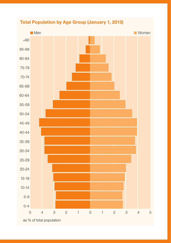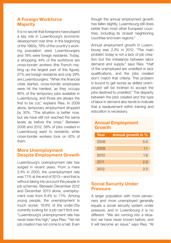#### **A Foreign Workforce Majority**

It is no secret that foreigners have played a key role in Luxembourg's economic development over time. In the beginning of the 1960s, 79% of the country's working population were Luxembourgers and 18% were foreign residents. Today, a whopping 44% of the workforce are cross-border workers (the French making up the largest part of this figure), 27% are foreign residents and only 29% are Luxembourgers. "When the financial crisis started, cross-border employees were hit the hardest, as they occupy 80% of the temporary jobs available in Luxembourg, and those are always the first to be cut," explains Ries. In 2009 alone, temporary employment dropped by 30%. "The situation is better now, but we have still not reached the same levels as before the crisis." Between 2008 and 2012, 58% of jobs created in Luxembourg went to residents, while cross-border workers took on 42% of them.

#### **More Unemployment Despite Employment Growth**

Luxembourg's unemployment rate has surged in recent years. From a mere 2.4% in 2000, the unemployment rate was 7.1% at the end of 2013—and that is without taking into account the people in job schemes. Between December 2012 and December 2013 alone, unemployment rose from 6.4% to 7.1%. Among young people, the unemployment is much worse: 18.8% of the under-25s currently looking for a job can't find one. "Luxembourg's unemployment rate has never been this high," says Ries. "Yet net job creation has not come to a halt. Even though the annual employment growth has fallen slightly, Luxembourg still does better than most other European countries, including its closest neighboring countries end even regions."

Annual employment growth in Luxembourg was 2.3% in 2012. "The main problem today is not a lack of job creation but the imbalance between labor demand and supply," says Ries. "Half of the unemployed are unskilled or lack qualifications, and the jobs created don't match that criteria. This problem is bound to get worse as skilled unemployed will be inclined to accept the jobs destined to unskilled." The disparity between the jobs created and the type of labor in demand also tends to indicate that a readjustment within training and education is necessary.

#### **Annual Employment Growth**

| Year | <b>Annual growth in %</b> |
|------|---------------------------|
| 2008 | 5.0                       |
| 2009 | 1.1                       |
| 2010 | 1.8                       |
| 2011 | 2.9                       |
| 2012 | 2.3                       |

#### **Social Security Under Pressure**

A larger population with more pensioners and more unemployed generally equals a social security system under pressure, and in Luxembourg it is no different. "We are running into a situation we have never known before, and it will become an issue," says Ries. "At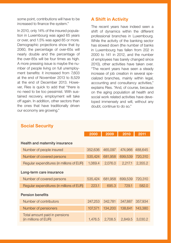some point, contributions will have to be increased to finance the system."

In 2010, only 14% of the insured population in Luxembourg was aged 65 years or over, and 1.5% was aged 85 or more. Demographic projections show that by 2060, the percentage of over-65s will nearly double and the percentage of the over-85s will be four times as high. A more pressing issue is maybe the number of people living on full unemployment benefits: it increased from 7,603 at the end of November 2013 to 8,529 at the end of December 2013. However, Ries is quick to add that "there is no need to be too pessimist. With sustained recovery, employment will take off again. In addition, other sectors than the ones that have traditionally driven our economy are growing."

#### **A Shift in Activity**

The recent years have indeed seen a shift of dynamics within the different professional branches in Luxembourg. While the activity of the banking sector has slowed down (the number of banks in Luxembourg has fallen from 202 in 2000 to 141 in 2012, and the number of employees has barely changed since 2010), other activities have taken over. "The recent years have seen a steady increase of job creation in several specialized branches, mainly within legal, accounting and consultancy activities," explains Ries. "And, of course, because on the aging population all health and social work related activities have developed immensely and will, without any doubt, continue to do so."

|                                                       | 2000    | 2009    | 2010    | 2011    |  |  |
|-------------------------------------------------------|---------|---------|---------|---------|--|--|
| Health and maternity insurance                        |         |         |         |         |  |  |
| Number of people insured                              | 352,636 | 465,097 | 474.966 | 488,645 |  |  |
| Number of covered persons                             | 535,424 | 681,958 | 699.539 | 720,310 |  |  |
| Regular expenditures (in millions of EUR)             | 1,069.4 | 2,076.0 | 2,217.1 | 2,355.2 |  |  |
| Long-term care insurance                              |         |         |         |         |  |  |
| Number of covered persons                             | 535,424 | 681,958 | 699,539 | 720,310 |  |  |
| Regular expenditures (in millions of EUR)             | 223.1   | 695.3   | 729.1   | 582.0   |  |  |
| <b>Pension benefits</b>                               |         |         |         |         |  |  |
| Number of contributors                                | 247,253 | 342,781 | 347,887 | 357,934 |  |  |
| Number of pensioners                                  | 107,571 | 134.200 | 138,641 | 143,380 |  |  |
| Total amount paid in pensions<br>(in millions of EUR) | 1.476.5 | 2.708.5 | 2,849.5 | 3,030.2 |  |  |

#### **Social Security**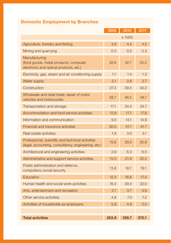## **Domestic Employment by Branches**

|                                                                                                          | 2000   | 2010  | 2011  |
|----------------------------------------------------------------------------------------------------------|--------|-------|-------|
|                                                                                                          | x 1000 |       |       |
| Agriculture, forestry and fishing                                                                        | 4.0    | 4.4   | 4.5   |
| Mining and quarrying                                                                                     | 0.3    | 0.3   | 0.3   |
| Manufacturing<br>(food goods, metal products, computer,<br>electronic and optical products, etc.)        | 32.6   | 32.7  | 33.2  |
| Electricity, gas, steam and air conditioning supply                                                      | 1.1    | 1.4   | 1.3   |
| Water supply                                                                                             | 2.1    | 2.6   | 2.7   |
| Construction                                                                                             | 27.2   | 39.5  | 40.2  |
| Wholesale and retail trade, repair of motor<br>vehicles and motorcycles                                  | 38.7   | 46.5  | 48.1  |
| Transportation and storage                                                                               | 17.1   | 24.4  | 24.7  |
| Accommodation and food service activities                                                                | 12.9   | 17.1  | 17.8  |
| Information and communication                                                                            | 9.0    | 14.1  | 14.9  |
| Financial and insurance activities                                                                       | 30.5   | 41.1  | 41.7  |
| Real estate activities                                                                                   | 1.8    | 3.0   | 3.1   |
| Professional, scientific and technical activities<br>(legal, accounting, consultancy, engineering, etc.) | 15.6   | 29.5  | 30.8  |
| Architectural and engineering activities                                                                 | 3.9    | 6.3   | 6.5   |
| Administrative and support service activities                                                            | 15.3   | 21.9  | 22.2  |
| Public administration and defence,<br>compulsory social security                                         | 13.8   | 18.7  | 19.1  |
| <b>Education</b>                                                                                         | 12.3   | 16.6  | 17.4  |
| Human health and social work activities                                                                  | 16.4   | 30.4  | 32.0  |
| Arts, entertainment and recreation                                                                       | 2.1    | 3.7   | 3.9   |
| Other service activities                                                                                 | 4.8    | 7.0   | 7.2   |
| Activities of households as employers,                                                                   | 5.9    | 4.9   | 5.0   |
|                                                                                                          |        |       |       |
| <b>Total activities</b>                                                                                  | 263.8  | 359.7 | 370.1 |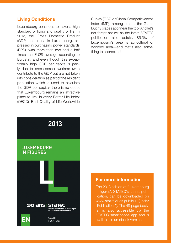#### **Living Conditions**

Luxembourg continues to have a high standard of living and quality of life. In 2012, the Gross Domestic Product (GDP) per capita in Luxembourg, expressed in purchasing power standards (PPS), was more than two and a half times the EU28 average according to Eurostat, and even though this exceptionally high GDP per capita is partly due to cross-border workers (who contribute to the GDP but are not taken into consideration as part of the resident population which is used to calculate the GDP per capita), there is no doubt that Luxembourg remains an attractive place to live. In every Better Life Index (OECD), Best Quality of Life Worldwide Survey (ECA) or Global Competitiveness Index (IMD), among others, the Grand Duchy places at or near the top. And let's not forget nature: as the latest STATEC publication also details, 85.5% of Luxembourg's area is agricultural or wooded area—and that's also something to appreciate!



#### **For more information**

The 2013 edition of "Luxembourg in figures", STATEC's annual publication, can be downloaded on www.statistiques.public.lu (under "Publications"). The 48-page booklet is also accessible via the STATEC smartphone app and is available in an ebook version.